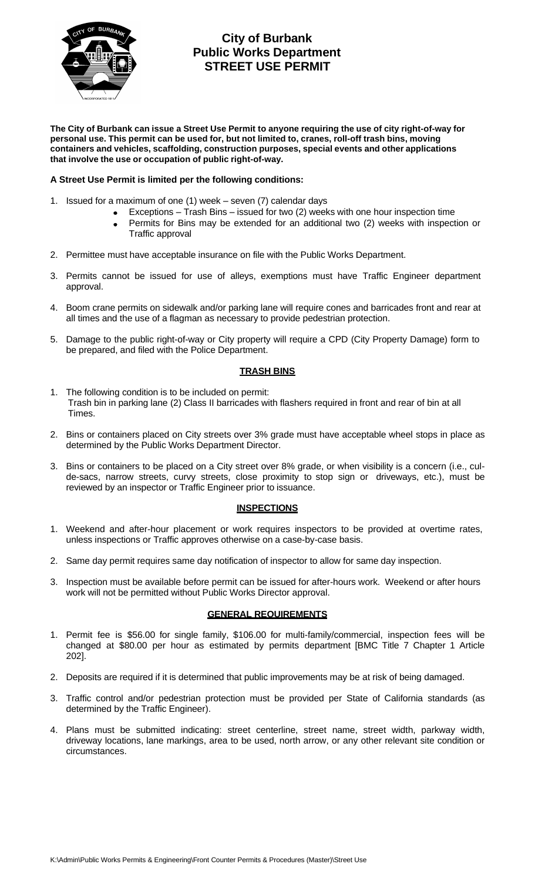

# **City of Burbank Public Works Department STREET USE PERMIT**

The City of Burbank can issue a Street Use Permit to anyone requiring the use of city right-of-way for **personal use. This permit can be used for, but not limited to, cranes, roll-off trash bins, moving containers and vehicles, scaffolding, construction purposes, special events and other applications that involve the use or occupation of public right-of-way.**

### **A Street Use Permit is limited per the following conditions:**

- 1. Issued for a maximum of one (1) week seven (7) calendar days
	- Exceptions Trash Bins issued for two (2) weeks with one hour inspection time
		- Permits for Bins may be extended for an additional two (2) weeks with inspection or  $\bullet$ Traffic approval
- 2. Permittee must have acceptable insurance on file with the Public Works Department.
- 3. Permits cannot be issued for use of alleys, exemptions must have Traffic Engineer department approval.
- 4. Boom crane permits on sidewalk and/or parking lane will require cones and barricades front and rear at all times and the use of a flagman as necessary to provide pedestrian protection.
- 5. Damage to the public right-of-way or City property will require a CPD (City Property Damage) form to be prepared, and filed with the Police Department.

### **TRASH BINS**

- 1. The following condition is to be included on permit: Trash bin in parking lane (2) Class II barricades with flashers required in front and rear of bin at all Times.
- 2. Bins or containers placed on City streets over 3% grade must have acceptable wheel stops in place as determined by the Public Works Department Director.
- 3. Bins or containers to be placed on a City street over 8% grade, or when visibility is a concern (i.e., culde-sacs, narrow streets, curvy streets, close proximity to stop sign or driveways, etc.), must be reviewed by an inspector or Traffic Engineer prior to issuance.

#### **INSPECTIONS**

- 1. Weekend and after-hour placement or work requires inspectors to be provided at overtime rates, unless inspections or Traffic approves otherwise on a case-by-case basis.
- 2. Same day permit requires same day notification of inspector to allow for same day inspection.
- 3. Inspection must be available before permit can be issued for after-hours work. Weekend or after hours work will not be permitted without Public Works Director approval.

#### **GENERAL REQUIREMENTS**

- 1. Permit fee is \$56.00 for single family, \$106.00 for multi-family/commercial, inspection fees will be changed at \$80.00 per hour as estimated by permits department [BMC Title 7 Chapter 1 Article 202].
- 2. Deposits are required if it is determined that public improvements may be at risk of being damaged.
- 3. Traffic control and/or pedestrian protection must be provided per State of California standards (as determined by the Traffic Engineer).
- 4. Plans must be submitted indicating: street centerline, street name, street width, parkway width, driveway locations, lane markings, area to be used, north arrow, or any other relevant site condition or circumstances.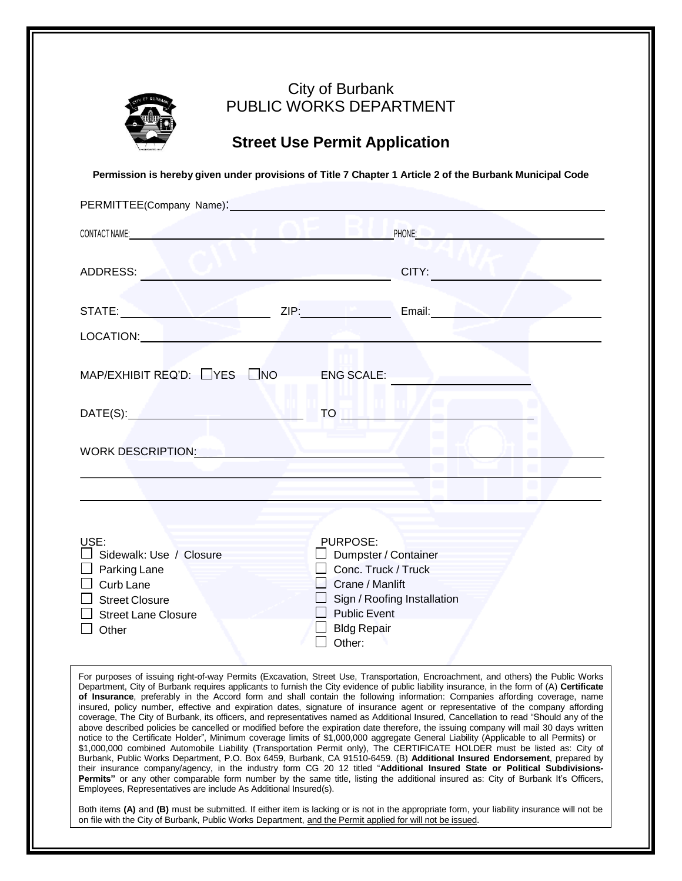

### City of Burbank PUBLIC WORKS DEPARTMENT

# **Street Use Permit Application**

**Permission is hereby given under provisions of Title 7 Chapter 1 Article 2 of the Burbank Municipal Code**

| PERMITTEE(Company Name): 2000                                                                                                                                                                                                       |                                                                                                                                                                                                                                |  |  |  |  |
|-------------------------------------------------------------------------------------------------------------------------------------------------------------------------------------------------------------------------------------|--------------------------------------------------------------------------------------------------------------------------------------------------------------------------------------------------------------------------------|--|--|--|--|
| <b>CONTACT NAME:</b> The contract of the contract of the contract of the contract of the contract of the contract of the contract of the contract of the contract of the contract of the contract of the contract of the contract o | PHONE: And the state of the state of the state of the state of the state of the state of the state of the state of the state of the state of the state of the state of the state of the state of the state of the state of the |  |  |  |  |
| ADDRESS:                                                                                                                                                                                                                            | CITY:                                                                                                                                                                                                                          |  |  |  |  |
|                                                                                                                                                                                                                                     | Email: Email: Email: Email: Email: Email: Email: Email: Email: Email: Email: Email: Email: Email: Email: Email: Email: Email: Email: Email: Email: Email: Email: Email: Email: Email: Email: Email: Email: Email: Email: Email |  |  |  |  |
| LOCATION: Annual Communication of the Communication of the Communication of the Communication of the Communication of the Communication of the Communication of the Communication of the Communication of the Communication of      |                                                                                                                                                                                                                                |  |  |  |  |
| $MAP/EXHIBIT REQ'D: \squareYES \squareNO \squareENG SCALE:$                                                                                                                                                                         |                                                                                                                                                                                                                                |  |  |  |  |
| DATE(S): New York DATE (S) and the U.S. of the U.S. of the U.S. of the U.S. of the U.S. of the U.S. of the U.S                                                                                                                      | TO THE REAL PROPERTY                                                                                                                                                                                                           |  |  |  |  |
| WORK DESCRIPTION: NAME AND THE STATE OF STATE OF STATE OF STATE OF STATE OF STATE OF STATE OF STATE OF STATE O                                                                                                                      |                                                                                                                                                                                                                                |  |  |  |  |
|                                                                                                                                                                                                                                     |                                                                                                                                                                                                                                |  |  |  |  |
|                                                                                                                                                                                                                                     |                                                                                                                                                                                                                                |  |  |  |  |
| USE:<br>$\Box$ Sidewalk: Use / Closure<br>$\Box$ Parking Lane<br>Curb Lane<br>$\Box$ Street Closure<br><b>Street Lane Closure</b><br>Other                                                                                          | PURPOSE:<br>Dumpster / Container<br>Conc. Truck / Truck<br>$\Box$ Crane / Manlift<br>Sign / Roofing Installation<br>$\Box$ Public Event<br><b>□ Bldg Repair</b><br>Other:                                                      |  |  |  |  |

For purposes of issuing right-of-way Permits (Excavation, Street Use, Transportation, Encroachment, and others) the Public Works Department, City of Burbank requires applicants to furnish the City evidence of public liability insurance, in the form of (A) **Certificate of Insurance**, preferably in the Accord form and shall contain the following information: Companies affording coverage, name insured, policy number, effective and expiration dates, signature of insurance agent or representative of the company affording coverage, The City of Burbank, its officers, and representatives named as Additional Insured, Cancellation to read "Should any of the above described policies be cancelled or modified before the expiration date therefore, the issuing company will mail 30 days written notice to the Certificate Holder", Minimum coverage limits of \$1,000,000 aggregate General Liability (Applicable to all Permits) or \$1,000,000 combined Automobile Liability (Transportation Permit only), The CERTIFICATE HOLDER must be listed as: City of Burbank, Public Works Department, P.O. Box 6459, Burbank, CA 91510-6459. (B) **Additional Insured Endorsement**, prepared by their insurance company/agency, in the industry form CG 20 12 titled "**Additional Insured State or Political Subdivisions-Permits**" or any other comparable form number by the same title, listing the additional insured as: City of Burbank It's Officers, Employees, Representatives are include As Additional Insured(s).

Both items **(A)** and **(B)** must be submitted. If either item is lacking or is not in the appropriate form, your liability insurance will not be on file with the City of Burbank, Public Works Department, and the Permit applied for will not be issued.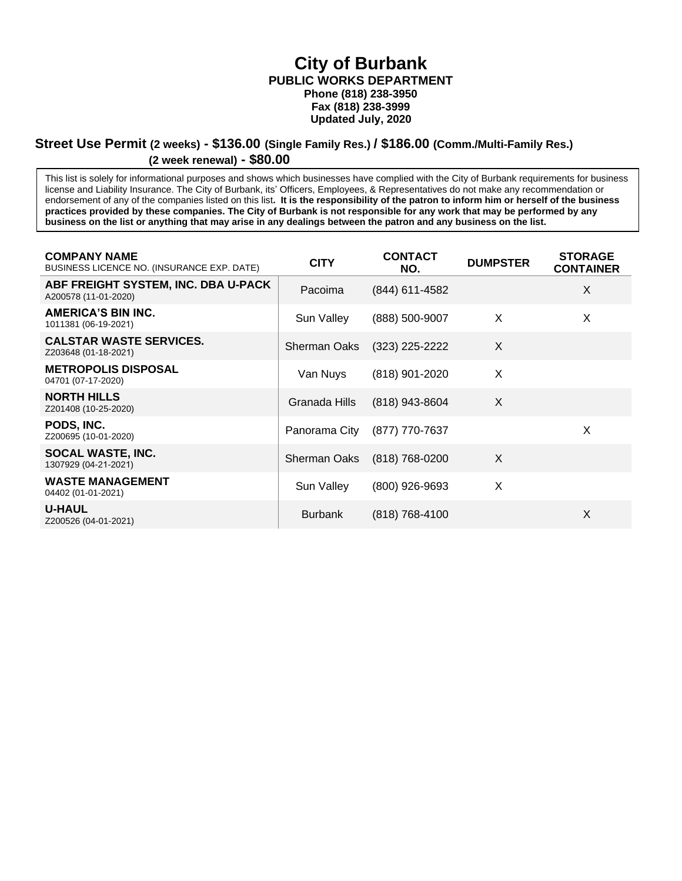**City of Burbank PUBLIC WORKS DEPARTMENT Phone (818) 238-3950 Fax (818) 238-3999 Updated July, 2020**

#### **Street Use Permit (2 weeks) - \$136.00 (Single Family Res.) / \$186.00 (Comm./Multi-Family Res.) (2 week renewal) - \$80.00**

This list is solely for informational purposes and shows which businesses have complied with the City of Burbank requirements for business license and Liability Insurance. The City of Burbank, its' Officers, Employees, & Representatives do not make any recommendation or endorsement of any of the companies listed on this list**. It is the responsibility of the patron to inform him or herself of the business practices provided by these companies. The City of Burbank is not responsible for any work that may be performed by any business on the list or anything that may arise in any dealings between the patron and any business on the list.**

| <b>COMPANY NAME</b><br>BUSINESS LICENCE NO. (INSURANCE EXP. DATE) | <b>CITY</b>         | <b>CONTACT</b><br>NO. | <b>DUMPSTER</b> | <b>STORAGE</b><br><b>CONTAINER</b> |
|-------------------------------------------------------------------|---------------------|-----------------------|-----------------|------------------------------------|
| ABF FREIGHT SYSTEM, INC. DBA U-PACK<br>A200578 (11-01-2020)       | Pacoima             | (844) 611-4582        |                 | X                                  |
| <b>AMERICA'S BIN INC.</b><br>1011381 (06-19-2021)                 | Sun Valley          | (888) 500-9007        | X               | X                                  |
| <b>CALSTAR WASTE SERVICES.</b><br>Z203648 (01-18-2021)            | <b>Sherman Oaks</b> | $(323)$ 225-2222      | X               |                                    |
| <b>METROPOLIS DISPOSAL</b><br>04701 (07-17-2020)                  | Van Nuys            | (818) 901-2020        | X               |                                    |
| <b>NORTH HILLS</b><br>Z201408 (10-25-2020)                        | Granada Hills       | (818) 943-8604        | $\times$        |                                    |
| PODS, INC.<br>Z200695 (10-01-2020)                                | Panorama City       | (877) 770-7637        |                 | X                                  |
| SOCAL WASTE, INC.<br>1307929 (04-21-2021)                         | <b>Sherman Oaks</b> | $(818)$ 768-0200      | $\times$        |                                    |
| <b>WASTE MANAGEMENT</b><br>04402 (01-01-2021)                     | Sun Valley          | (800) 926-9693        | X               |                                    |
| <b>U-HAUL</b><br>Z200526 (04-01-2021)                             | <b>Burbank</b>      | $(818)$ 768-4100      |                 | X                                  |